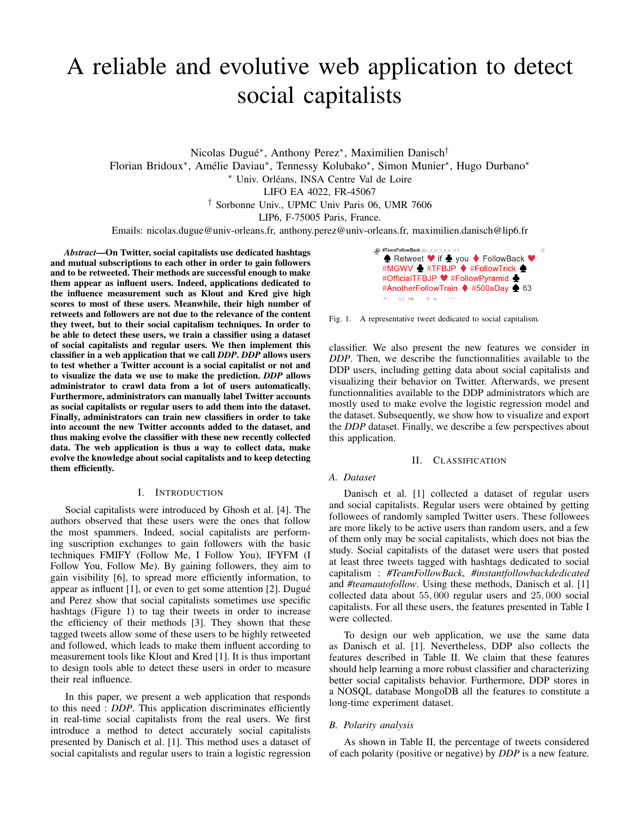# A reliable and evolutive web application to detect social capitalists

Nicolas Dugué<sup>∗</sup> , Anthony Perez<sup>∗</sup> , Maximilien Danisch† Florian Bridoux<sup>∗</sup> , Amélie Daviau<sup>∗</sup> , Tennessy Kolubako<sup>∗</sup> , Simon Munier<sup>∗</sup> , Hugo Durbano<sup>∗</sup> <sup>∗</sup> Univ. Orléans, INSA Centre Val de Loire LIFO EA 4022, FR-45067 † Sorbonne Univ., UPMC Univ Paris 06, UMR 7606

LIP6, F-75005 Paris, France.

Emails: nicolas.dugue@univ-orleans.fr, anthony.perez@univ-orleans.fr, maximilien.danisch@lip6.fr

*Abstract*—On Twitter, social capitalists use dedicated hashtags and mutual subscriptions to each other in order to gain followers and to be retweeted. Their methods are successful enough to make them appear as influent users. Indeed, applications dedicated to the influence measurement such as Klout and Kred give high scores to most of these users. Meanwhile, their high number of retweets and followers are not due to the relevance of the content they tweet, but to their social capitalism techniques. In order to be able to detect these users, we train a classifier using a dataset of social capitalists and regular users. We then implement this classifier in a web application that we call *DDP*. *DDP* allows users to test whether a Twitter account is a social capitalist or not and to visualize the data we use to make the prediction. *DDP* allows administrator to crawl data from a lot of users automatically. Furthermore, administrators can manually label Twitter accounts as social capitalists or regular users to add them into the dataset. Finally, administrators can train new classifiers in order to take into account the new Twitter accounts added to the dataset, and thus making evolve the classifier with these new recently collected data. The web application is thus a way to collect data, make evolve the knowledge about social capitalists and to keep detecting them efficiently.

# I. INTRODUCTION

Social capitalists were introduced by Ghosh et al. [4]. The authors observed that these users were the ones that follow the most spammers. Indeed, social capitalists are performing suscription exchanges to gain followers with the basic techniques FMIFY (Follow Me, I Follow You), IFYFM (I Follow You, Follow Me). By gaining followers, they aim to gain visibility [6], to spread more efficiently information, to appear as influent [1], or even to get some attention [2]. Dugué and Perez show that social capitalists sometimes use specific hashtags (Figure 1) to tag their tweets in order to increase the efficiency of their methods [3]. They shown that these tagged tweets allow some of these users to be highly retweeted and followed, which leads to make them influent according to measurement tools like Klout and Kred [1]. It is thus important to design tools able to detect these users in order to measure their real influence.

In this paper, we present a web application that responds to this need : *DDP*. This application discriminates efficiently in real-time social capitalists from the real users. We first introduce a method to detect accurately social capitalists presented by Danisch et al. [1]. This method uses a dataset of social capitalists and regular users to train a logistic regression



Fig. 1. A representative tweet dedicated to social capitalism.

classifier. We also present the new features we consider in *DDP*. Then, we describe the functionnalities available to the DDP users, including getting data about social capitalists and visualizing their behavior on Twitter. Afterwards, we present functionnalities available to the DDP administrators which are mostly used to make evolve the logistic regression model and the dataset. Subsequently, we show how to visualize and export the *DDP* dataset. Finally, we describe a few perspectives about this application.

# II. CLASSIFICATION

# *A. Dataset*

Danisch et al. [1] collected a dataset of regular users and social capitalists. Regular users were obtained by getting followees of randomly sampled Twitter users. These followees are more likely to be active users than random users, and a few of them only may be social capitalists, which does not bias the study. Social capitalists of the dataset were users that posted at least three tweets tagged with hashtags dedicated to social capitalism : *#TeamFollowBack*, *#instantfollowbackdedicated* and *#teamautofollow*. Using these methods, Danisch et al. [1] collected data about 55, 000 regular users and 25, 000 social capitalists. For all these users, the features presented in Table I were collected.

To design our web application, we use the same data as Danisch et al. [1]. Nevertheless, DDP also collects the features described in Table II. We claim that these features should help learning a more robust classifier and characterizing better social capitalists behavior. Furthermore, DDP stores in a NOSQL database MongoDB all the features to constitute a long-time experiment dataset.

# *B. Polarity analysis*

As shown in Table II, the percentage of tweets considered of each polarity (positive or negative) by *DDP* is a new feature.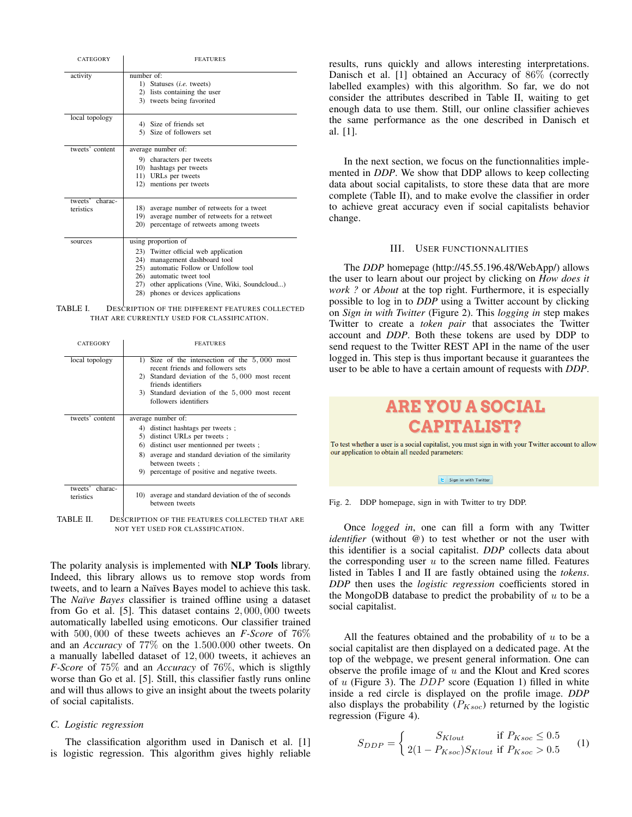| CATEGORY                     | <b>FEATURES</b>                                                                                                                                                                                                                                                  |  |  |  |  |
|------------------------------|------------------------------------------------------------------------------------------------------------------------------------------------------------------------------------------------------------------------------------------------------------------|--|--|--|--|
| activity                     | number of:<br>1) Statuses <i>(i.e.</i> tweets)<br>2) lists containing the user<br>3) tweets being favorited                                                                                                                                                      |  |  |  |  |
| local topology               | 4) Size of friends set<br>5) Size of followers set                                                                                                                                                                                                               |  |  |  |  |
| tweets' content              | average number of:<br>9) characters per tweets<br>10) hashtags per tweets<br>11) URLs per tweets<br>12) mentions per tweets                                                                                                                                      |  |  |  |  |
| tweets' charac-<br>teristics | average number of retweets for a tweet<br>18)<br>average number of retweets for a retweet<br>19)<br>20) percentage of retweets among tweets                                                                                                                      |  |  |  |  |
| sources                      | using proportion of<br>23) Twitter official web application<br>24) management dashboard tool<br>25)<br>automatic Follow or Unfollow tool<br>26) automatic tweet tool<br>27) other applications (Vine, Wiki, Soundcloud)<br>28)<br>phones or devices applications |  |  |  |  |

TABLE I. DESCRIPTION OF THE DIFFERENT FEATURES COLLECTED THAT ARE CURRENTLY USED FOR CLASSIFICATION.

| CATEGORY                     | <b>FEATURES</b>                                                                                                                                                                                                                                                           |  |  |  |
|------------------------------|---------------------------------------------------------------------------------------------------------------------------------------------------------------------------------------------------------------------------------------------------------------------------|--|--|--|
| local topology               | Size of the intersection of the $5,000$ most<br>$\overline{1}$<br>recent friends and followers sets<br>Standard deviation of the 5,000 most recent<br>2)<br>friends identifiers<br>3) Standard deviation of the 5,000 most recent<br>followers identifiers                |  |  |  |
| tweets' content              | average number of:<br>4) distinct hashtags per tweets ;<br>distinct URLs per tweets;<br>5)<br>distinct user mentionned per tweets;<br>6)<br>average and standard deviation of the similarity<br>8).<br>between tweets ;<br>9) percentage of positive and negative tweets. |  |  |  |
| tweets' charac-<br>teristics | average and standard deviation of the of seconds<br>10)<br>between tweets                                                                                                                                                                                                 |  |  |  |

TABLE II. DESCRIPTION OF THE FEATURES COLLECTED THAT ARE NOT YET USED FOR CLASSIFICATION.

The polarity analysis is implemented with **NLP Tools** library. Indeed, this library allows us to remove stop words from tweets, and to learn a Naïves Bayes model to achieve this task. The *Naïve Bayes* classifier is trained offline using a dataset from Go et al. [5]. This dataset contains 2, 000, 000 tweets automatically labelled using emoticons. Our classifier trained with 500, 000 of these tweets achieves an *F-Score* of 76% and an *Accuracy* of 77% on the 1.500.000 other tweets. On a manually labelled dataset of 12, 000 tweets, it achieves an *F-Score* of 75% and an *Accuracy* of 76%, which is sligthly worse than Go et al. [5]. Still, this classifier fastly runs online and will thus allows to give an insight about the tweets polarity of social capitalists.

# *C. Logistic regression*

The classification algorithm used in Danisch et al. [1] is logistic regression. This algorithm gives highly reliable results, runs quickly and allows interesting interpretations. Danisch et al. [1] obtained an Accuracy of 86% (correctly labelled examples) with this algorithm. So far, we do not consider the attributes described in Table II, waiting to get enough data to use them. Still, our online classifier achieves the same performance as the one described in Danisch et al. [1].

In the next section, we focus on the functionnalities implemented in *DDP*. We show that DDP allows to keep collecting data about social capitalists, to store these data that are more complete (Table II), and to make evolve the classifier in order to achieve great accuracy even if social capitalists behavior change.

#### III. USER FUNCTIONNALITIES

The *DDP* homepage (http://45.55.196.48/WebApp/) allows the user to learn about our project by clicking on *How does it work ?* or *About* at the top right. Furthermore, it is especially possible to log in to *DDP* using a Twitter account by clicking on *Sign in with Twitter* (Figure 2). This *logging in* step makes Twitter to create a *token pair* that associates the Twitter account and *DDP*. Both these tokens are used by DDP to send request to the Twitter REST API in the name of the user logged in. This step is thus important because it guarantees the user to be able to have a certain amount of requests with *DDP*.

# **ARE YOU A SOCIAL CAPITALIST?**

To test whether a user is a social capitalist, you must sign in with your Twitter account to allow our application to obtain all needed parameters:

 $\epsilon$  Sign in with Twitter

Fig. 2. DDP homepage, sign in with Twitter to try DDP.

Once *logged in*, one can fill a form with any Twitter *identifier* (without *@*) to test whether or not the user with this identifier is a social capitalist. *DDP* collects data about the corresponding user  $u$  to the screen name filled. Features listed in Tables I and II are fastly obtained using the *tokens*. *DDP* then uses the *logistic regression* coefficients stored in the MongoDB database to predict the probability of  $u$  to be a social capitalist.

All the features obtained and the probability of  $u$  to be a social capitalist are then displayed on a dedicated page. At the top of the webpage, we present general information. One can observe the profile image of  $u$  and the Klout and Kred scores of  $u$  (Figure 3). The  $DDP$  score (Equation 1) filled in white inside a red circle is displayed on the profile image. *DDP* also displays the probability  $(P_{Ksoc})$  returned by the logistic regression (Figure 4).

$$
S_{DDP} = \begin{cases} S_{Klout} & \text{if } P_{Ksoc} \leq 0.5\\ 2(1 - P_{Ksoc})S_{Klout} & \text{if } P_{Ksoc} > 0.5 \end{cases} (1)
$$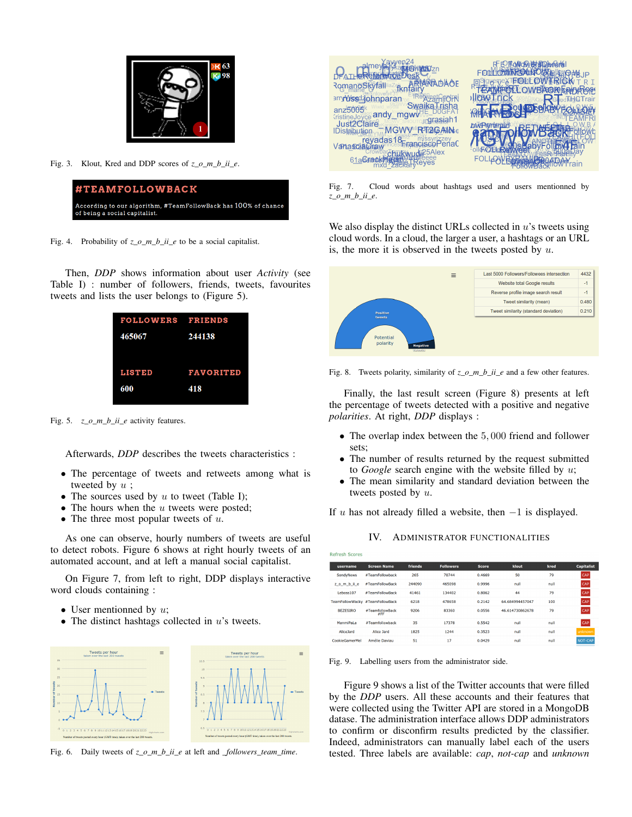

Fig. 3. Klout, Kred and DDP scores of *z o m b* ii *e*.



Fig. 4. Probability of *z\_o\_m\_b\_ii\_e* to be a social capitalist.

Then, *DDP* shows information about user *Activity* (see Table I) : number of followers, friends, tweets, favourites tweets and lists the user belongs to (Figure 5).



Fig. 5. *z\_o\_m\_b\_ii\_e* activity features.

Afterwards, *DDP* describes the tweets characteristics :

- The percentage of tweets and retweets among what is tweeted by  $u$ ;
- The sources used by  $u$  to tweet (Table I);
- The hours when the  $u$  tweets were posted;
- The three most popular tweets of  $u$ .

As one can observe, hourly numbers of tweets are useful to detect robots. Figure 6 shows at right hourly tweets of an automated account, and at left a manual social capitalist.

On Figure 7, from left to right, DDP displays interactive word clouds containing :

- User mentionned by  $u$ ;
- The distinct hashtags collected in  $u$ 's tweets.



Fig. 6. Daily tweets of *z\_o\_m\_b\_ii\_e* at left and *\_followers\_team\_time*.



Fig. 7. Cloud words about hashtags used and users mentionned by *z\_o\_m\_b\_ii\_e*.

We also display the distinct URLs collected in  $u$ 's tweets using cloud words. In a cloud, the larger a user, a hashtags or an URL is, the more it is observed in the tweets posted by  $u$ .



Fig. 8. Tweets polarity, similarity of  $z_0_m_b$ *ii\_e* and a few other features.

Finally, the last result screen (Figure 8) presents at left the percentage of tweets detected with a positive and negative *polarities*. At right, *DDP* displays :

- The overlap index between the 5,000 friend and follower sets;
- The number of results returned by the request submitted to *Google* search engine with the website filled by u;
- The mean similarity and standard deviation between the tweets posted by u.

If u has not already filled a website, then  $-1$  is displayed.

|  |  | IV. ADMINISTRATOR FUNCTIONALITIES |
|--|--|-----------------------------------|
|--|--|-----------------------------------|

| .               |                                 |         |                  |              |                 |      |                   |
|-----------------|---------------------------------|---------|------------------|--------------|-----------------|------|-------------------|
| username        | <b>Screen Name</b>              | friends | <b>Followers</b> | <b>Score</b> | klout           | kred | <b>Capitalist</b> |
| SondyNews       | #TeamFollowback                 | 265     | 70744            | 0.4669       | 50              | 79   | CAP               |
| zombile         | #TeamFollowBack                 | 244090  | 465098           | 0.9996       | null            | null | CAP               |
| Leboss107       | #TeamFollowBack                 | 41461   | 134402           | 0.8062       | 44              | 79   | CAP               |
|                 | TeamFollowWacky #TeamFollowBack | 6218    | 478658           | 0.2142       | 64.684994457047 | 100  | CAP               |
| <b>BEZESIRO</b> | #TeamfollowBack<br>#FF          | 9206    | 83360            | 0.0556       | 46.614730862678 | 79   | CAP               |
| ManmiPaLa       | #Teamfollowback                 | 35      | 17378            | 0.5542       | null            | null | CAP               |
| Alice Jard      | Alice Jard                      | 1825    | 1244             | 0.3523       | null            | null | unknown           |
| CookieGamerMel  | Amélie Daviau                   | 51      | 17               | 0.0429       | null            | null | NOT-CAP           |
|                 |                                 |         |                  |              |                 |      |                   |

Fig. 9. Labelling users from the administrator side.

Figure 9 shows a list of the Twitter accounts that were filled by the *DDP* users. All these accounts and their features that were collected using the Twitter API are stored in a MongoDB datase. The administration interface allows DDP administrators to confirm or disconfirm results predicted by the classifier. Indeed, administrators can manually label each of the users tested. Three labels are available: *cap*, *not-cap* and *unknown*